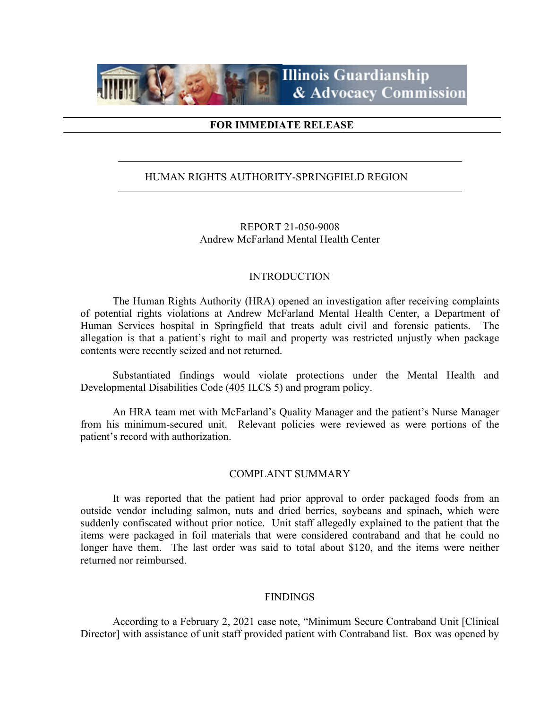

### **FOR IMMEDIATE RELEASE**

## HUMAN RIGHTS AUTHORITY-SPRINGFIELD REGION

REPORT 21-050-9008 Andrew McFarland Mental Health Center

#### INTRODUCTION

The Human Rights Authority (HRA) opened an investigation after receiving complaints of potential rights violations at Andrew McFarland Mental Health Center, a Department of Human Services hospital in Springfield that treats adult civil and forensic patients. The allegation is that a patient's right to mail and property was restricted unjustly when package contents were recently seized and not returned.

Substantiated findings would violate protections under the Mental Health and Developmental Disabilities Code (405 ILCS 5) and program policy.

An HRA team met with McFarland's Quality Manager and the patient's Nurse Manager from his minimum-secured unit. Relevant policies were reviewed as were portions of the patient's record with authorization.

#### COMPLAINT SUMMARY

It was reported that the patient had prior approval to order packaged foods from an outside vendor including salmon, nuts and dried berries, soybeans and spinach, which were suddenly confiscated without prior notice. Unit staff allegedly explained to the patient that the items were packaged in foil materials that were considered contraband and that he could no longer have them. The last order was said to total about \$120, and the items were neither returned nor reimbursed.

#### **FINDINGS**

According to a February 2, 2021 case note, "Minimum Secure Contraband Unit [Clinical Director] with assistance of unit staff provided patient with Contraband list. Box was opened by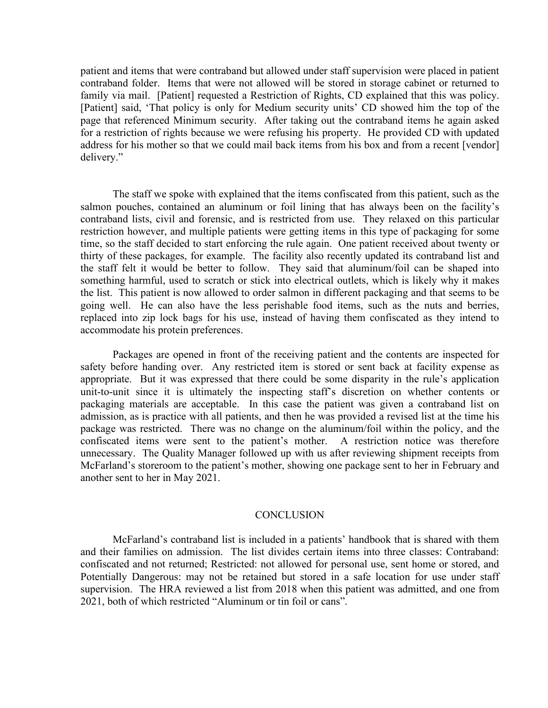patient and items that were contraband but allowed under staff supervision were placed in patient contraband folder. Items that were not allowed will be stored in storage cabinet or returned to family via mail. [Patient] requested a Restriction of Rights, CD explained that this was policy. [Patient] said, 'That policy is only for Medium security units' CD showed him the top of the page that referenced Minimum security. After taking out the contraband items he again asked for a restriction of rights because we were refusing his property. He provided CD with updated address for his mother so that we could mail back items from his box and from a recent [vendor] delivery."

The staff we spoke with explained that the items confiscated from this patient, such as the salmon pouches, contained an aluminum or foil lining that has always been on the facility's contraband lists, civil and forensic, and is restricted from use. They relaxed on this particular restriction however, and multiple patients were getting items in this type of packaging for some time, so the staff decided to start enforcing the rule again. One patient received about twenty or thirty of these packages, for example. The facility also recently updated its contraband list and the staff felt it would be better to follow. They said that aluminum/foil can be shaped into something harmful, used to scratch or stick into electrical outlets, which is likely why it makes the list. This patient is now allowed to order salmon in different packaging and that seems to be going well. He can also have the less perishable food items, such as the nuts and berries, replaced into zip lock bags for his use, instead of having them confiscated as they intend to accommodate his protein preferences.

Packages are opened in front of the receiving patient and the contents are inspected for safety before handing over. Any restricted item is stored or sent back at facility expense as appropriate. But it was expressed that there could be some disparity in the rule's application unit-to-unit since it is ultimately the inspecting staff's discretion on whether contents or packaging materials are acceptable. In this case the patient was given a contraband list on admission, as is practice with all patients, and then he was provided a revised list at the time his package was restricted. There was no change on the aluminum/foil within the policy, and the confiscated items were sent to the patient's mother. A restriction notice was therefore unnecessary. The Quality Manager followed up with us after reviewing shipment receipts from McFarland's storeroom to the patient's mother, showing one package sent to her in February and another sent to her in May 2021.

#### **CONCLUSION**

McFarland's contraband list is included in a patients' handbook that is shared with them and their families on admission. The list divides certain items into three classes: Contraband: confiscated and not returned; Restricted: not allowed for personal use, sent home or stored, and Potentially Dangerous: may not be retained but stored in a safe location for use under staff supervision. The HRA reviewed a list from 2018 when this patient was admitted, and one from 2021, both of which restricted "Aluminum or tin foil or cans".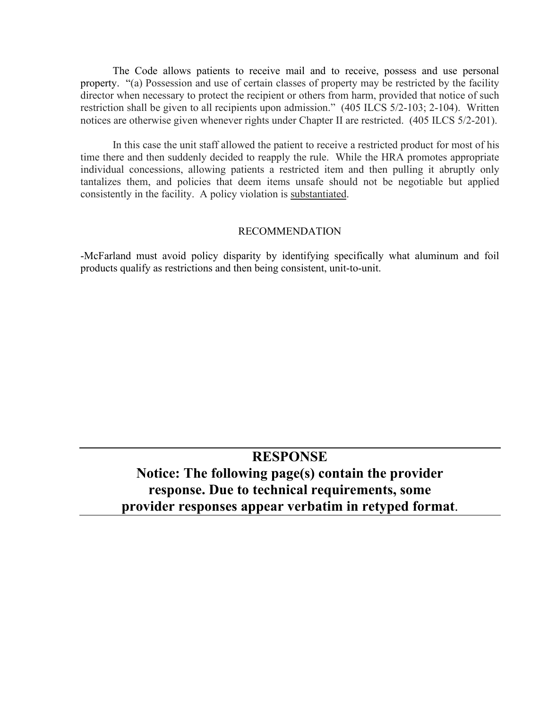The Code allows patients to receive mail and to receive, possess and use personal property. "(a) Possession and use of certain classes of property may be restricted by the facility director when necessary to protect the recipient or others from harm, provided that notice of such restriction shall be given to all recipients upon admission." (405 ILCS 5/2-103; 2-104). Written notices are otherwise given whenever rights under Chapter II are restricted. (405 ILCS 5/2-201).

In this case the unit staff allowed the patient to receive a restricted product for most of his time there and then suddenly decided to reapply the rule. While the HRA promotes appropriate individual concessions, allowing patients a restricted item and then pulling it abruptly only tantalizes them, and policies that deem items unsafe should not be negotiable but applied consistently in the facility. A policy violation is substantiated.

#### RECOMMENDATION

-McFarland must avoid policy disparity by identifying specifically what aluminum and foil products qualify as restrictions and then being consistent, unit-to-unit.

## **RESPONSE**

# **Notice: The following page(s) contain the provider response. Due to technical requirements, some provider responses appear verbatim in retyped format**.